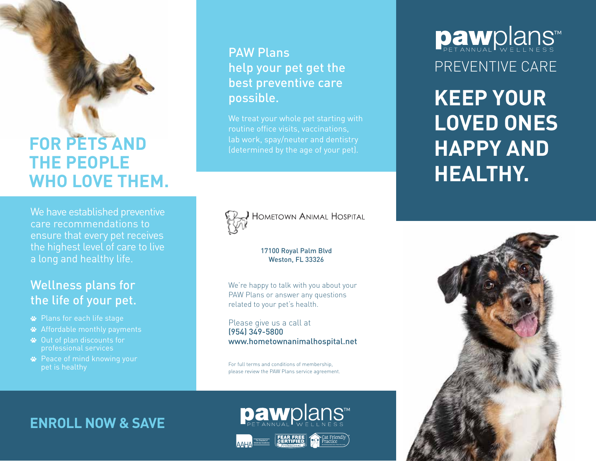## **FOR PETS AND THE PEOPLE WHO LOVE THEM.**

We have established preventive care recommendations to ensure that every pet receives the highest level of care to live a long and healthy life.

### Wellness plans for the life of your pet.

- Plans for each life stage
- Affordable monthly payments
- Out of plan discounts for professional services
- **<sup>■</sup>** Peace of mind knowing your pet is healthy

### PAW Plans help your pet get the best preventive care possible.

We treat your whole pet starting with routine office visits, vaccinations, lab work, spay/neuter and dentistry



**HOMETOWN ANIMAL HOSPITAL** 

#### 17100 Royal Palm Blvd Weston, FL 33326

We're happy to talk with you about your PAW Plans or answer any questions related to your pet's health.

Please give us a call at (954) 349-5800 www.hometownanimalhospital.net

For full terms and conditions of membership, please review the PAW Plans service agreement.

### **ENROLL NOW & SAVE**



pawplans™

# **Daw**plans™ PREVENTIVE CARE

**KEEP YOUR LOVED ONES HAPPY AND HEALTHY.**